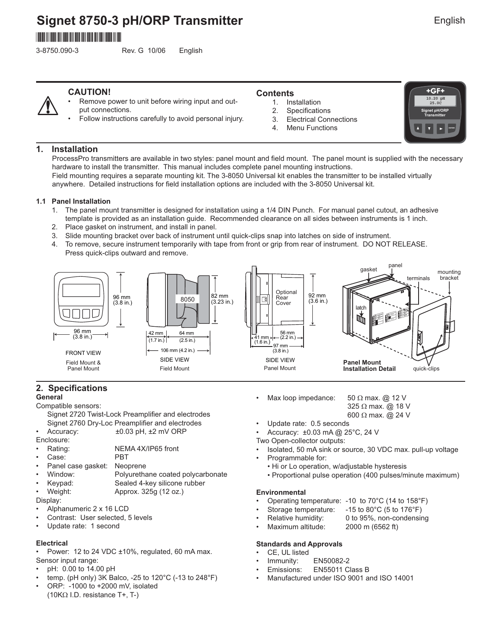# **Signet 8750-3 pH/ORP Transmitter** \*3-8750.090-3\*

3-8750.090-3 Rev. G 10/06 English

# **CAUTION!**

Remove power to unit before wiring input and output connections.

• Follow instructions carefully to avoid personal injury.

## **Contents**

- Installation 1.
- **Specifications** 2.
- Electrical Connections 3.
- Menu Functions 4.



## **1. Installation**

ProcessPro transmitters are available in two styles: panel mount and field mount. The panel mount is supplied with the necessary hardware to install the transmitter. This manual includes complete panel mounting instructions. Field mounting requires a separate mounting kit. The 3-8050 Universal kit enables the transmitter to be installed virtually

anywhere. Detailed instructions for field installation options are included with the 3-8050 Universal kit.

### **1.1 Panel Installation**

- 1. The panel mount transmitter is designed for installation using a 1/4 DIN Punch. For manual panel cutout, an adhesive template is provided as an installation guide. Recommended clearance on all sides between instruments is 1 inch.
- 2. Place gasket on instrument, and install in panel.
- 3. Slide mounting bracket over back of instrument until quick-clips snap into latches on side of instrument.
- 4. To remove, secure instrument temporarily with tape from front or grip from rear of instrument. DO NOT RELEASE. Press quick-clips outward and remove.



### **2. Specifications General**

Compatible sensors:

Signet 2720 Twist-Lock Preamplifier and electrodes Signet 2760 Dry-Loc Preamplifier and electrodes

- Accuracy:  $\pm 0.03$  pH,  $\pm 2$  mV ORP
- Enclosure:
- Rating: NEMA 4X/IP65 front
- Case: PBT
- Panel case gasket: Neoprene
- Window: Polyurethane coated polycarbonate
- Keypad: Sealed 4-key silicone rubber
- Weight: Approx. 325g (12 oz.)

Display:

- Alphanumeric 2 x 16 LCD
- Contrast: User selected, 5 levels
- Update rate: 1 second

### **Electrical**

Power: 12 to 24 VDC ±10%, regulated, 60 mA max. Sensor input range:

- pH: 0.00 to 14.00 pH
- temp. (pH only) 3K Balco, -25 to 120°C (-13 to 248°F)
- ORP: -1000 to +2000 mV, isolated (10KΩ I.D. resistance T+, T-)
- Max loop impedance: 50  $\Omega$  max. @ 12 V
	- 325 Ω max. @ 18 V 600 Ω max. @ 24 V
- Update rate: 0.5 seconds
- Accuracy: ±0.03 mA @ 25°C, 24 V
- Two Open-collector outputs:
- Isolated, 50 mA sink or source, 30 VDC max. pull-up voltage
- Programmable for:
	- Hi or Lo operation, w/adjustable hysteresis
	- Proportional pulse operation (400 pulses/minute maximum)

### **Environmental**

- Operating temperature: -10 to 70°C (14 to 158°F)
- Storage temperature: -15 to 80°C (5 to 176°F)
	- Relative humidity: 0 to 95%, non-condensing
- Maximum altitude: 2000 m (6562 ft)

### **Standards and Approvals**

- CE, UL listed
- Immunity: EN50082-2
- Emissions: EN55011 Class B
- Manufactured under ISO 9001 and ISO 14001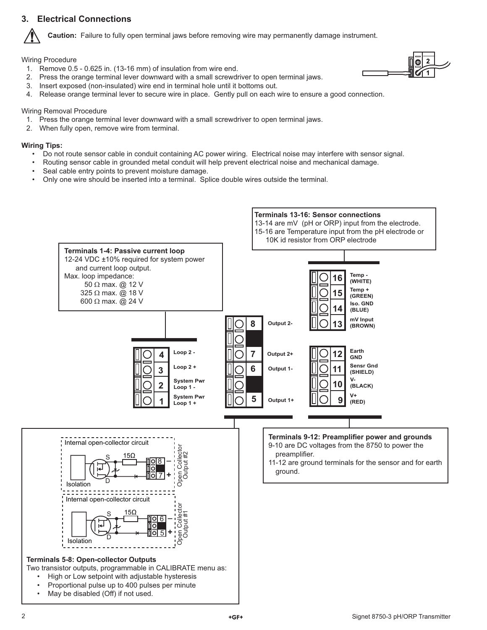# **3. Electrical Connections**



**Caution:** Failure to fully open terminal jaws before removing wire may permanently damage instrument.

Wiring Procedure

1. Remove 0.5 - 0.625 in. (13-16 mm) of insulation from wire end.



- 2. Press the orange terminal lever downward with a small screwdriver to open terminal jaws.
- 3. Insert exposed (non-insulated) wire end in terminal hole until it bottoms out.
- 4. Release orange terminal lever to secure wire in place. Gently pull on each wire to ensure a good connection.

## Wiring Removal Procedure

- 1. Press the orange terminal lever downward with a small screwdriver to open terminal jaws.
- 2. When fully open, remove wire from terminal.

## **Wiring Tips:**

- Do not route sensor cable in conduit containing AC power wiring. Electrical noise may interfere with sensor signal.
- Routing sensor cable in grounded metal conduit will help prevent electrical noise and mechanical damage.
- Seal cable entry points to prevent moisture damage.
- Only one wire should be inserted into a terminal. Splice double wires outside the terminal.

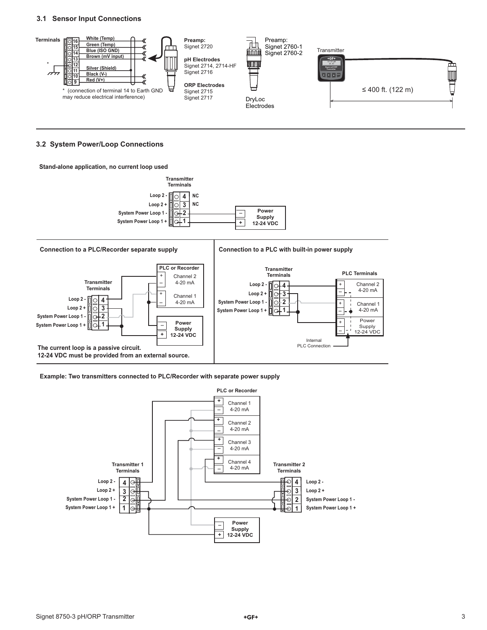### **3.1 Sensor Input Connections**



#### **3.2 System Power/Loop Connections**

#### **Stand-alone application, no current loop used**



**Example: Two transmitters connected to PLC/Recorder with separate power supply**

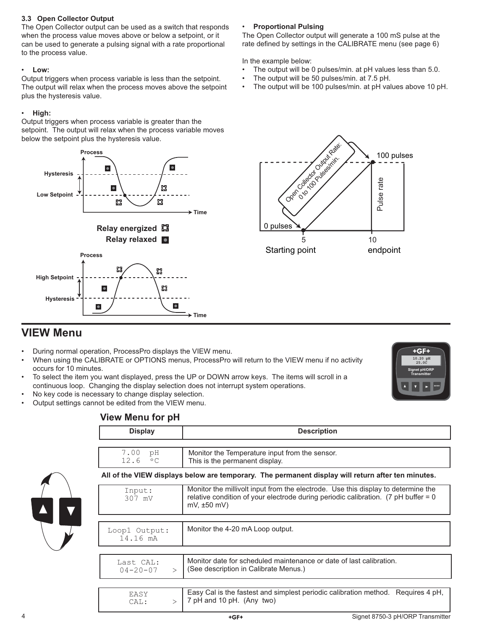### **3.3 Open Collector Output**

The Open Collector output can be used as a switch that responds when the process value moves above or below a setpoint, or it can be used to generate a pulsing signal with a rate proportional to the process value.

## • **Low:**

Output triggers when process variable is less than the setpoint. The output will relax when the process moves above the setpoint plus the hysteresis value.

## • **High:**

Output triggers when process variable is greater than the setpoint. The output will relax when the process variable moves below the setpoint plus the hysteresis value.



## • **Proportional Pulsing**

The Open Collector output will generate a 100 mS pulse at the rate defined by settings in the CALIBRATE menu (see page 6)

In the example below:

- The output will be 0 pulses/min. at pH values less than 5.0.
- The output will be 50 pulses/min. at 7.5 pH.
- The output will be 100 pulses/min. at pH values above 10 pH.



# **VIEW Menu**

- During normal operation, ProcessPro displays the VIEW menu.
- When using the CALIBRATE or OPTIONS menus, ProcessPro will return to the VIEW menu if no activity occurs for 10 minutes.
- To select the item you want displayed, press the UP or DOWN arrow keys. The items will scroll in a continuous loop. Changing the display selection does not interrupt system operations.
- No key code is necessary to change display selection. • Output settings cannot be edited from the VIEW menu.



# **View Menu for pH**

| <b>Display</b>                              | <b>Description</b>                                                                                                                                                                                       |
|---------------------------------------------|----------------------------------------------------------------------------------------------------------------------------------------------------------------------------------------------------------|
|                                             |                                                                                                                                                                                                          |
| 7.00<br>рH<br>12.6<br>$\circ$ C             | Monitor the Temperature input from the sensor.<br>This is the permanent display.                                                                                                                         |
|                                             | All of the VIEW displays below are temporary. The permanent display will return after ten minutes.                                                                                                       |
| Input:<br>307 mV                            | Monitor the millivolt input from the electrode. Use this display to determine the<br>relative condition of your electrode during periodic calibration. $(7 \text{ pH buffer} = 0$<br>$mV$ , $\pm 50$ mV) |
|                                             |                                                                                                                                                                                                          |
| Loop1 Output:<br>14.16 mA                   | Monitor the 4-20 mA Loop output.                                                                                                                                                                         |
|                                             |                                                                                                                                                                                                          |
| Last CAL:<br>$04 - 20 - 07$<br>$\mathbf{L}$ | Monitor date for scheduled maintenance or date of last calibration.<br>(See description in Calibrate Menus.)                                                                                             |
|                                             |                                                                                                                                                                                                          |
| EASY<br>CAL:<br>$\mathbf{L}$                | Easy Cal is the fastest and simplest periodic calibration method. Requires 4 pH,<br>7 pH and 10 pH. (Any two)                                                                                            |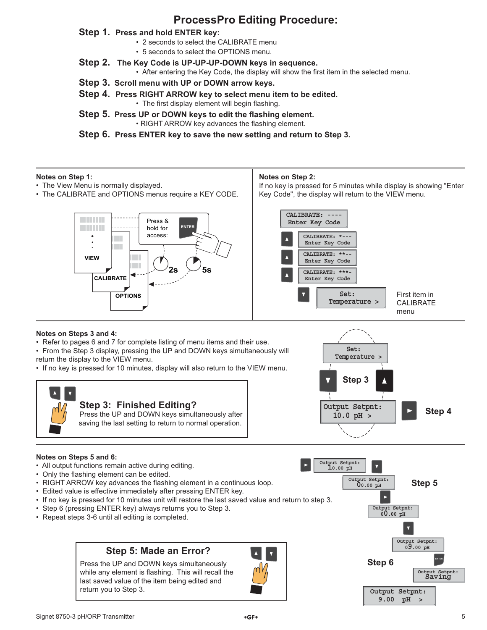# **ProcessPro Editing Procedure:**

## **Step 1. Press and hold ENTER key:**

- 2 seconds to select the CALIBRATE menu
- 5 seconds to select the OPTIONS menu.
- **Step 2. The Key Code is UP-UP-UP-DOWN keys in sequence.**
	- After entering the Key Code, the display will show the first item in the selected menu.
- **Step 3. Scroll menu with UP or DOWN arrow keys.**
- **Step 4. Press RIGHT ARROW key to select menu item to be edited.** • The first display element will begin flashing.
- **Step 5. Press UP or DOWN keys to edit the flashing element.** • RIGHT ARROW key advances the flashing element.

**Step 6. Press ENTER key to save the new setting and return to Step 3.**

### **Notes on Step 1:**

- The View Menu is normally displayed.
- The CALIBRATE and OPTIONS menus require a KEY CODE.

### **Notes on Step 2:**

If no key is pressed for 5 minutes while display is showing "Enter Key Code", the display will return to the VIEW menu.



#### **CALIBRATE: ---- Enter Key Code CALIBRATE: \*--- Enter Key Code** CALIBRATE: \*\* **Enter Key Code CALIBRATE: \*\*\*- Enter Key Code Temperature > Set:** First item in CALIBRATE menu

### **Notes on Steps 3 and 4:**

• Refer to pages 6 and 7 for complete listing of menu items and their use.

• From the Step 3 display, pressing the UP and DOWN keys simultaneously will return the display to the VIEW menu.

• If no key is pressed for 10 minutes, display will also return to the VIEW menu.





### **Notes on Steps 5 and 6:**

- All output functions remain active during editing.
- Only the flashing element can be edited.
- RIGHT ARROW key advances the flashing element in a continuous loop.
- Edited value is effective immediately after pressing ENTER key.
- If no key is pressed for 10 minutes unit will restore the last saved value and return to step 3.
- Step 6 (pressing ENTER key) always returns you to Step 3.
- Repeat steps 3-6 until all editing is completed.

# **Step 5: Made an Error?**

Press the UP and DOWN keys simultaneously while any element is flashing. This will recall the last saved value of the item being edited and return you to Step 3.



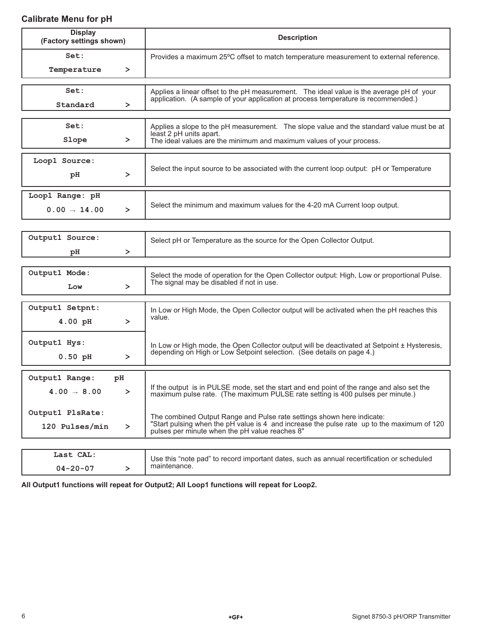# **Calibrate Menu for pH**

| <b>Display</b><br>(Factory settings shown) |        | <b>Description</b>                                                                                                                                                             |  |
|--------------------------------------------|--------|--------------------------------------------------------------------------------------------------------------------------------------------------------------------------------|--|
| Set:                                       |        | Provides a maximum 25°C offset to match temperature measurement to external reference.                                                                                         |  |
| Temperature                                | ≻      |                                                                                                                                                                                |  |
|                                            |        |                                                                                                                                                                                |  |
| Set:                                       |        | Applies a linear offset to the pH measurement. The ideal value is the average pH of your<br>application. (A sample of your application at process temperature is recommended.) |  |
| Standard                                   | ≻      |                                                                                                                                                                                |  |
|                                            |        |                                                                                                                                                                                |  |
| Set:                                       |        | Applies a slope to the pH measurement. The slope value and the standard value must be at<br>least 2 pH units apart.                                                            |  |
| Slope                                      | ≻      | The ideal values are the minimum and maximum values of your process.                                                                                                           |  |
| Loop1 Source:                              |        |                                                                                                                                                                                |  |
|                                            |        | Select the input source to be associated with the current loop output: pH or Temperature                                                                                       |  |
| pH                                         | ≻      |                                                                                                                                                                                |  |
| Loop1 Range: pH                            |        |                                                                                                                                                                                |  |
| $0.00 - 14.00$                             | ≻      | Select the minimum and maximum values for the 4-20 mA Current loop output.                                                                                                     |  |
|                                            |        |                                                                                                                                                                                |  |
|                                            |        |                                                                                                                                                                                |  |
| Output1 Source:                            |        | Select pH or Temperature as the source for the Open Collector Output.                                                                                                          |  |
| pH                                         | ≻      |                                                                                                                                                                                |  |
| Output1 Mode:                              |        |                                                                                                                                                                                |  |
|                                            |        | Select the mode of operation for the Open Collector output: High, Low or proportional Pulse.<br>The signal may be disabled if not in use.                                      |  |
| Low                                        | ≻      |                                                                                                                                                                                |  |
| Output1 Setpnt:                            |        | In Low or High Mode, the Open Collector output will be activated when the pH reaches this                                                                                      |  |
| 4.00 pH                                    | $\geq$ | value.                                                                                                                                                                         |  |
|                                            |        |                                                                                                                                                                                |  |
| Output1 Hys:                               |        | In Low or High mode, the Open Collector output will be deactivated at Setpoint ± Hysteresis,                                                                                   |  |
| $0.50$ pH                                  | ≻      | depending on High or Low Setpoint selection. (See details on page 4.)                                                                                                          |  |
|                                            |        |                                                                                                                                                                                |  |
| Output1 Range:                             | pH     |                                                                                                                                                                                |  |
| $4.00 \rightarrow 8.00$                    | ≻      | If the output is in PULSE mode, set the start and end point of the range and also set the<br>maximum pulse rate. (The maximum PULSE rate setting is 400 pulses per minute.)    |  |
|                                            |        |                                                                                                                                                                                |  |
| Output1 PlsRate:                           |        | The combined Output Range and Pulse rate settings shown here indicate:                                                                                                         |  |
| 120 Pulses/min                             | ≻      | "Start pulsing when the pH value is 4 and increase the pulse rate up to the maximum of 120<br>pulses per minute when the pH value reaches 8"                                   |  |
|                                            |        |                                                                                                                                                                                |  |
| Last CAL:                                  |        | Use this "note pad" to record important dates, such as annual recertification or scheduled                                                                                     |  |
| $04 - 20 - 07$                             | $\geq$ | maintenance.                                                                                                                                                                   |  |

**All Output1 functions will repeat for Output2; All Loop1 functions will repeat for Loop2.**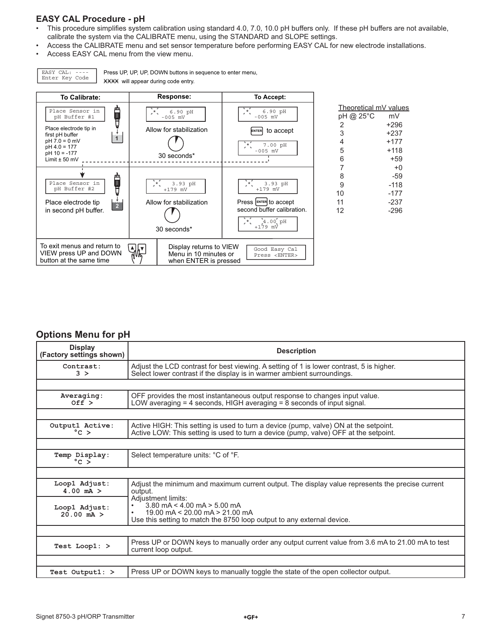# **EASY CAL Procedure - pH**

EASY CAL: ----

- This procedure simplifies system calibration using standard 4.0, 7.0, 10.0 pH buffers only. If these pH buffers are not available, calibrate the system via the CALIBRATE menu, using the STANDARD and SLOPE settings.
- Access the CALIBRATE menu and set sensor temperature before performing EASY CAL for new electrode installations.
- Access EASY CAL menu from the view menu.



# **Options Menu for pH**

| <b>Display</b><br>(Factory settings shown) | <b>Description</b>                                                                                                                                                                      |
|--------------------------------------------|-----------------------------------------------------------------------------------------------------------------------------------------------------------------------------------------|
| Contrast:<br>3 >                           | Adjust the LCD contrast for best viewing. A setting of 1 is lower contrast, 5 is higher.<br>Select lower contrast if the display is in warmer ambient surroundings.                     |
|                                            |                                                                                                                                                                                         |
| Averaging:<br>Off >                        | OFF provides the most instantaneous output response to changes input value.<br>LOW averaging $=$ 4 seconds, HIGH averaging $=$ 8 seconds of input signal.                               |
|                                            |                                                                                                                                                                                         |
| Output1 Active:<br>$^{\circ}$ C >          | Active HIGH: This setting is used to turn a device (pump, valve) ON at the setpoint.<br>Active LOW: This setting is used to turn a device (pump, valve) OFF at the setpoint.            |
|                                            |                                                                                                                                                                                         |
| Temp Display:<br>$°C >$                    | Select temperature units: °C of °F.                                                                                                                                                     |
|                                            |                                                                                                                                                                                         |
| Loop1 Adjust:<br>$4.00$ mA $>$             | Adjust the minimum and maximum current output. The display value represents the precise current<br>output.                                                                              |
| Loop1 Adjust:<br>$20.00 \text{ mA} >$      | Adjustment limits:<br>$3.80 \text{ mA} < 4.00 \text{ mA} > 5.00 \text{ mA}$<br>19.00 mA < 20.00 mA > 21.00 mA<br>Use this setting to match the 8750 loop output to any external device. |
|                                            |                                                                                                                                                                                         |
| Test Loop1: >                              | Press UP or DOWN keys to manually order any output current value from 3.6 mA to 21.00 mA to test<br>current loop output.                                                                |
|                                            |                                                                                                                                                                                         |
| Test Output1: >                            | Press UP or DOWN keys to manually toggle the state of the open collector output.                                                                                                        |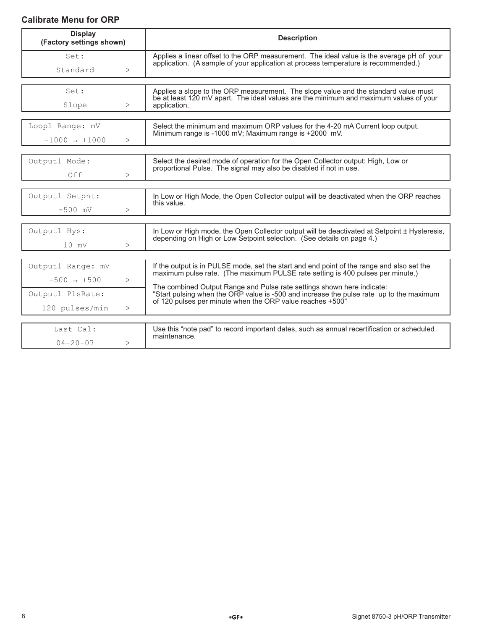# **Calibrate Menu for ORP**

| <b>Display</b><br>(Factory settings shown) |        | <b>Description</b>                                                                                                                                                              |  |
|--------------------------------------------|--------|---------------------------------------------------------------------------------------------------------------------------------------------------------------------------------|--|
| Set:                                       |        | Applies a linear offset to the ORP measurement. The ideal value is the average pH of your<br>application. (A sample of your application at process temperature is recommended.) |  |
| Standard                                   | $\geq$ |                                                                                                                                                                                 |  |
| Set:                                       |        | Applies a slope to the ORP measurement. The slope value and the standard value must                                                                                             |  |
| Slope                                      | >      | be at least 120 mV apart. The ideal values are the minimum and maximum values of your<br>application.                                                                           |  |
| Loop1 Range: mV                            |        | Select the minimum and maximum ORP values for the 4-20 mA Current loop output.                                                                                                  |  |
| $-1000 \rightarrow +1000$                  | >      | Minimum range is -1000 mV; Maximum range is +2000 mV.                                                                                                                           |  |
|                                            |        |                                                                                                                                                                                 |  |
| Output1 Mode:                              |        | Select the desired mode of operation for the Open Collector output: High, Low or<br>proportional Pulse. The signal may also be disabled if not in use.                          |  |
| Off                                        | $\geq$ |                                                                                                                                                                                 |  |
|                                            |        |                                                                                                                                                                                 |  |
| Output1 Setpnt:                            |        | In Low or High Mode, the Open Collector output will be deactivated when the ORP reaches<br>this value.                                                                          |  |
| $-500$ mV                                  | $\geq$ |                                                                                                                                                                                 |  |
| Output1 Hys:                               |        | In Low or High mode, the Open Collector output will be deactivated at Setpoint ± Hysteresis,                                                                                    |  |
|                                            |        | depending on High or Low Setpoint selection. (See details on page 4.)                                                                                                           |  |
| $10$ mV                                    | $\geq$ |                                                                                                                                                                                 |  |
| Output1 Range: mV                          |        | If the output is in PULSE mode, set the start and end point of the range and also set the                                                                                       |  |
| $-500 \rightarrow +500$                    | $\geq$ | maximum pulse rate. (The maximum PULSE rate setting is 400 pulses per minute.)                                                                                                  |  |
|                                            |        | The combined Output Range and Pulse rate settings shown here indicate:                                                                                                          |  |
| Output1 PlsRate:                           |        | "Start pulsing when the ORP value is -500 and increase the pulse rate up to the maximum<br>of 120 pulses per minute when the ORP value reaches +500"                            |  |
| 120 pulses/min                             | >      |                                                                                                                                                                                 |  |
|                                            |        |                                                                                                                                                                                 |  |
| Last Cal:                                  |        | Use this "note pad" to record important dates, such as annual recertification or scheduled<br>maintenance.                                                                      |  |
| $04 - 20 - 07$                             | >      |                                                                                                                                                                                 |  |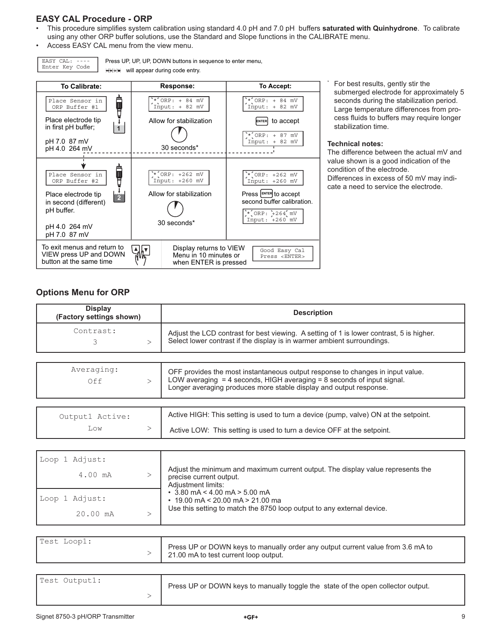# **EASY CAL Procedure - ORP**

- This procedure simplifies system calibration using standard 4.0 pH and 7.0 pH buffers saturated with Quinhydrone. To calibrate using any other ORP buffer solutions, use the Standard and Slope functions in the CALIBRATE menu.
- Access EASY CAL menu from the view menu.

EASY CAL: ---- Enter Key Code

Press UP, UP, UP, DOWN buttons in sequence to enter menu, **WHIRE** will appear during code entry.



 For best results, gently stir the submerged electrode for approximately 5 seconds during the stabilization period. Large temperature differences from process fluids to buffers may require longer stabilization time.

### **Technical notes:**

\*

The difference between the actual mV and value shown is a good indication of the condition of the electrode. Differences in excess of 50 mV may indicate a need to service the electrode.

## **Options Menu for ORP**

| <b>Display</b><br>(Factory settings shown) |  | <b>Description</b>                                                                                                                                                  |  |
|--------------------------------------------|--|---------------------------------------------------------------------------------------------------------------------------------------------------------------------|--|
| Contrast:                                  |  | Adjust the LCD contrast for best viewing. A setting of 1 is lower contrast, 5 is higher.<br>Select lower contrast if the display is in warmer ambient surroundings. |  |

| Averaging:<br>Off      | OFF provides the most instantaneous output response to changes in input value.<br>LOW averaging $=$ 4 seconds, HIGH averaging $=$ 8 seconds of input signal.<br>Longer averaging produces more stable display and output response. |
|------------------------|------------------------------------------------------------------------------------------------------------------------------------------------------------------------------------------------------------------------------------|
| Output1 Active:<br>Low | Active HIGH: This setting is used to turn a device (pump, valve) ON at the setpoint.<br>Active LOW: This setting is used to turn a device OFF at the setpoint.                                                                     |

| Loop 1 Adjust: |                                                                                                                                  |
|----------------|----------------------------------------------------------------------------------------------------------------------------------|
| 4.00 mA        | Adjust the minimum and maximum current output. The display value represents the<br>precise current output.<br>Adiustment limits: |
| Loop 1 Adjust: | $\cdot$ 3.80 mA < 4.00 mA > 5.00 mA<br>$\cdot$ 19.00 mA < 20.00 mA > 21.00 ma                                                    |
| 20.00 mA       | Use this setting to match the 8750 loop output to any external device.                                                           |

| Test Loop1: | Press UP or DOWN keys to manually order any output current value from 3.6 mA to<br>21.00 mA to test current loop output. |
|-------------|--------------------------------------------------------------------------------------------------------------------------|
|-------------|--------------------------------------------------------------------------------------------------------------------------|

| Test Output1: | Press UP or DOWN keys to manually toggle the state of the open collector output. |
|---------------|----------------------------------------------------------------------------------|
|               |                                                                                  |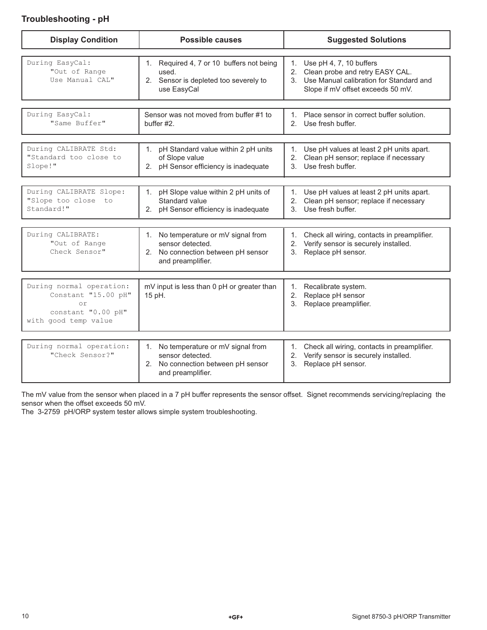# **Troubleshooting - pH**

| <b>Display Condition</b>                                                                            | <b>Possible causes</b>                                                                                             | <b>Suggested Solutions</b>                                                                                                                                |  |
|-----------------------------------------------------------------------------------------------------|--------------------------------------------------------------------------------------------------------------------|-----------------------------------------------------------------------------------------------------------------------------------------------------------|--|
| During EasyCal:<br>"Out of Range<br>Use Manual CAL"                                                 | 1. Required 4, 7 or 10 buffers not being<br>used.<br>2. Sensor is depleted too severely to<br>use EasyCal          | 1.<br>Use pH 4, 7, 10 buffers<br>Clean probe and retry EASY CAL.<br>2.<br>3. Use Manual calibration for Standard and<br>Slope if mV offset exceeds 50 mV. |  |
| During EasyCal:<br>"Same Buffer"                                                                    | Sensor was not moved from buffer #1 to<br>buffer #2.                                                               | 1. Place sensor in correct buffer solution.<br>Use fresh buffer.<br>$2^{+}$                                                                               |  |
| During CALIBRATE Std:<br>"Standard too close to<br>Slope!"                                          | pH Standard value within 2 pH units<br>$1_{\cdot}$<br>of Slope value<br>2. pH Sensor efficiency is inadequate      | Use pH values at least 2 pH units apart.<br>1.<br>Clean pH sensor; replace if necessary<br>2.<br>Use fresh buffer.<br>3.                                  |  |
| During CALIBRATE Slope:<br>"Slope too close to<br>Standard!"                                        | pH Slope value within 2 pH units of<br>1.<br>Standard value<br>2. pH Sensor efficiency is inadequate               | Use pH values at least 2 pH units apart.<br>1.<br>2.<br>Clean pH sensor; replace if necessary<br>Use fresh buffer.<br>$\mathcal{S}$                       |  |
| During CALIBRATE:<br>"Out of Range<br>Check Sensor"                                                 | 1. No temperature or mV signal from<br>sensor detected.<br>2. No connection between pH sensor<br>and preamplifier. | 1. Check all wiring, contacts in preamplifier.<br>Verify sensor is securely installed.<br>2.<br>Replace pH sensor.<br>3.                                  |  |
| During normal operation:<br>Constant "15.00 pH"<br>or<br>constant "0.00 pH"<br>with good temp value | mV input is less than 0 pH or greater than<br>15 pH.                                                               | Recalibrate system.<br>1.<br>2. Replace pH sensor<br>Replace preamplifier.<br>3.                                                                          |  |
| During normal operation:<br>"Check Sensor?"                                                         | 1. No temperature or mV signal from<br>sensor detected.<br>2. No connection between pH sensor<br>and preamplifier. | 1. Check all wiring, contacts in preamplifier.<br>2. Verify sensor is securely installed.<br>3. Replace pH sensor.                                        |  |

The mV value from the sensor when placed in a 7 pH buffer represents the sensor offset. Signet recommends servicing/replacing the sensor when the offset exceeds 50 mV.

The 3-2759 pH/ORP system tester allows simple system troubleshooting.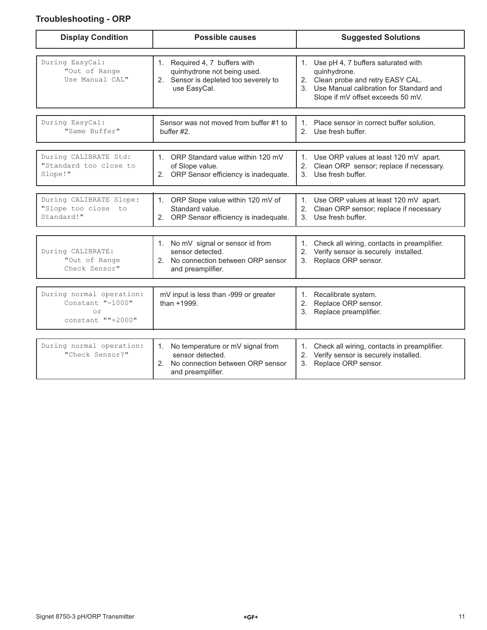# **Troubleshooting - ORP**

| <b>Display Condition</b>                                                | <b>Possible causes</b>                                                                                                                      | <b>Suggested Solutions</b>                                                                                                                                                     |  |
|-------------------------------------------------------------------------|---------------------------------------------------------------------------------------------------------------------------------------------|--------------------------------------------------------------------------------------------------------------------------------------------------------------------------------|--|
| During EasyCal:<br>"Out of Range<br>Use Manual CAL"                     | 1. Required 4, 7 buffers with<br>quinhydrone not being used.<br>2. Sensor is depleted too severely to<br>use EasyCal.                       | 1. Use pH 4, 7 buffers saturated with<br>quinhydrone.<br>2. Clean probe and retry EASY CAL.<br>3. Use Manual calibration for Standard and<br>Slope if mV offset exceeds 50 mV. |  |
| During EasyCal:<br>"Same Buffer"                                        | Sensor was not moved from buffer #1 to<br>buffer #2.                                                                                        | 1. Place sensor in correct buffer solution.<br>2. Use fresh buffer.                                                                                                            |  |
| During CALIBRATE Std:<br>"Standard too close to<br>Slope!"              | 1. ORP Standard value within 120 mV<br>of Slope value.<br>2. ORP Sensor efficiency is inadequate.                                           | 1. Use ORP values at least 120 mV apart.<br>2.<br>Clean ORP sensor; replace if necessary.<br>3. Use fresh buffer.                                                              |  |
| During CALIBRATE Slope:<br>"Slope too close<br>to<br>Standard!"         | ORP Slope value within 120 mV of<br>$1_{\cdot}$<br>Standard value.<br>ORP Sensor efficiency is inadequate.<br>2.                            | 1. Use ORP values at least 120 mV apart.<br>2. Clean ORP sensor; replace if necessary<br>3. Use fresh buffer.                                                                  |  |
| During CALIBRATE:<br>"Out of Range<br>Check Sensor"                     | 1. No mV signal or sensor id from<br>sensor detected.<br>No connection between ORP sensor<br>2.<br>and preamplifier.                        | 1. Check all wiring, contacts in preamplifier.<br>2. Verify sensor is securely installed.<br>3. Replace ORP sensor.                                                            |  |
| During normal operation:<br>Constant "-1000"<br>or<br>constant ""+2000" | mV input is less than -999 or greater<br>than +1999.                                                                                        | Recalibrate system.<br>1.<br>Replace ORP sensor.<br>2.<br>3 <sub>1</sub><br>Replace preamplifier.                                                                              |  |
| During normal operation:<br>"Check Sensor?"                             | No temperature or mV signal from<br>$1_{\cdot}$<br>sensor detected.<br>No connection between ORP sensor<br>$2^{\circ}$<br>and preamplifier. | 1. Check all wiring, contacts in preamplifier.<br>2. Verify sensor is securely installed.<br>3. Replace ORP sensor.                                                            |  |